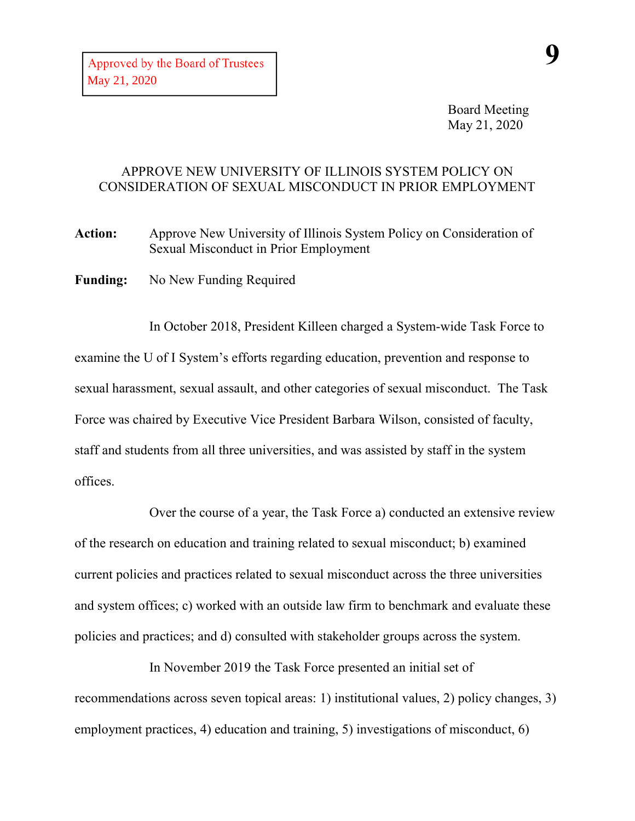## APPROVE NEW UNIVERSITY OF ILLINOIS SYSTEM POLICY ON CONSIDERATION OF SEXUAL MISCONDUCT IN PRIOR EMPLOYMENT

**Action:** Approve New University of Illinois System Policy on Consideration of Sexual Misconduct in Prior Employment

**Funding:** No New Funding Required

In October 2018, President Killeen charged a System-wide Task Force to examine the U of I System's efforts regarding education, prevention and response to sexual harassment, sexual assault, and other categories of sexual misconduct. The Task Force was chaired by Executive Vice President Barbara Wilson, consisted of faculty, staff and students from all three universities, and was assisted by staff in the system offices.

Over the course of a year, the Task Force a) conducted an extensive review of the research on education and training related to sexual misconduct; b) examined current policies and practices related to sexual misconduct across the three universities and system offices; c) worked with an outside law firm to benchmark and evaluate these policies and practices; and d) consulted with stakeholder groups across the system.

In November 2019 the Task Force presented an initial set of recommendations across seven topical areas: 1) institutional values, 2) policy changes, 3) employment practices, 4) education and training, 5) investigations of misconduct, 6)